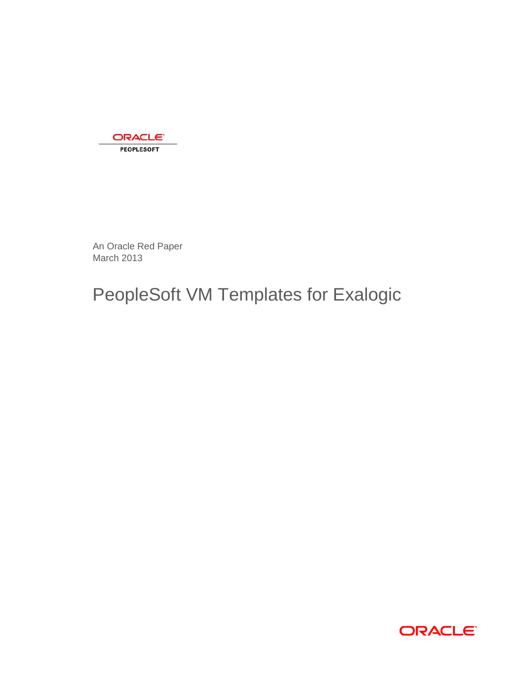

An Oracle Red Paper March 2013

# PeopleSoft VM Templates for Exalogic

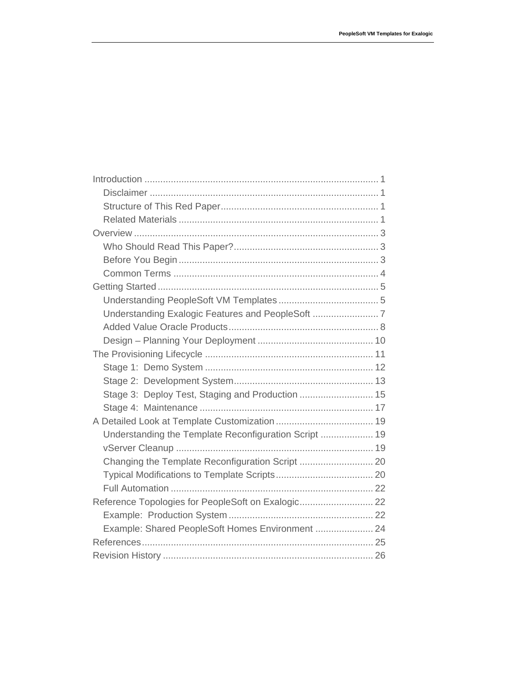| Stage 3: Deploy Test, Staging and Production  15      |  |
|-------------------------------------------------------|--|
|                                                       |  |
|                                                       |  |
| Understanding the Template Reconfiguration Script  19 |  |
|                                                       |  |
|                                                       |  |
|                                                       |  |
|                                                       |  |
| Reference Topologies for PeopleSoft on Exalogic 22    |  |
|                                                       |  |
| Example: Shared PeopleSoft Homes Environment  24      |  |
|                                                       |  |
|                                                       |  |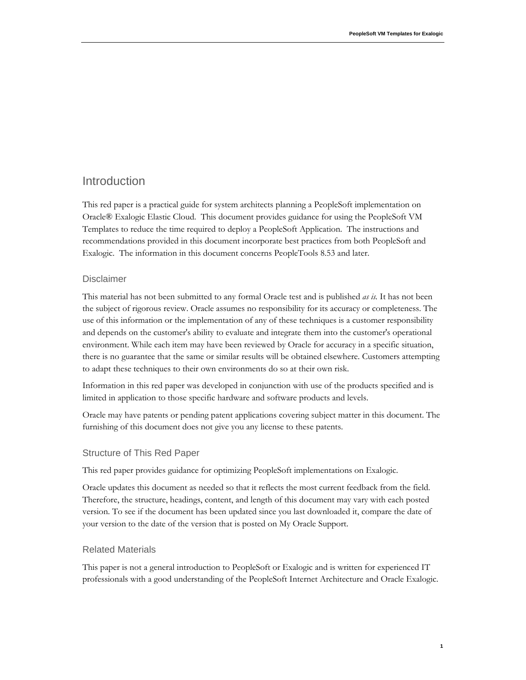# Introduction

This red paper is a practical guide for system architects planning a PeopleSoft implementation on Oracle® Exalogic Elastic Cloud. This document provides guidance for using the PeopleSoft VM Templates to reduce the time required to deploy a PeopleSoft Application. The instructions and recommendations provided in this document incorporate best practices from both PeopleSoft and Exalogic. The information in this document concerns PeopleTools 8.53 and later.

# Disclaimer

This material has not been submitted to any formal Oracle test and is published *as is.* It has not been the subject of rigorous review. Oracle assumes no responsibility for its accuracy or completeness. The use of this information or the implementation of any of these techniques is a customer responsibility and depends on the customer's ability to evaluate and integrate them into the customer's operational environment. While each item may have been reviewed by Oracle for accuracy in a specific situation, there is no guarantee that the same or similar results will be obtained elsewhere. Customers attempting to adapt these techniques to their own environments do so at their own risk.

Information in this red paper was developed in conjunction with use of the products specified and is limited in application to those specific hardware and software products and levels.

Oracle may have patents or pending patent applications covering subject matter in this document. The furnishing of this document does not give you any license to these patents.

# Structure of This Red Paper

This red paper provides guidance for optimizing PeopleSoft implementations on Exalogic.

Oracle updates this document as needed so that it reflects the most current feedback from the field. Therefore, the structure, headings, content, and length of this document may vary with each posted version. To see if the document has been updated since you last downloaded it, compare the date of your version to the date of the version that is posted on My Oracle Support.

# Related Materials

This paper is not a general introduction to PeopleSoft or Exalogic and is written for experienced IT professionals with a good understanding of the PeopleSoft Internet Architecture and Oracle Exalogic.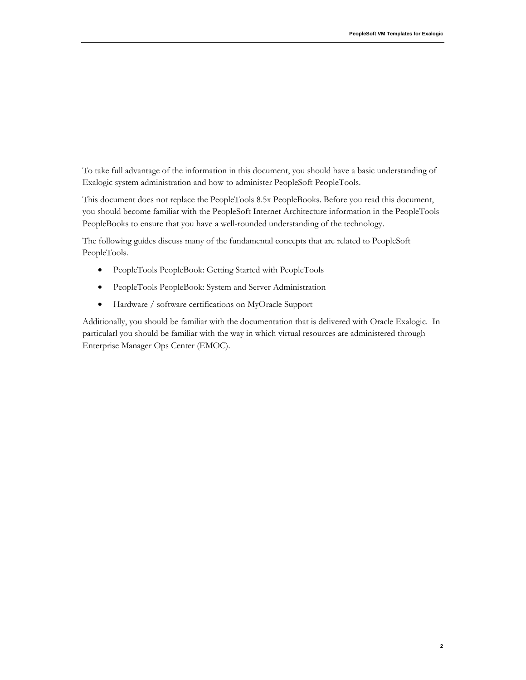To take full advantage of the information in this document, you should have a basic understanding of Exalogic system administration and how to administer PeopleSoft PeopleTools.

This document does not replace the PeopleTools 8.5x PeopleBooks. Before you read this document, you should become familiar with the PeopleSoft Internet Architecture information in the PeopleTools PeopleBooks to ensure that you have a well-rounded understanding of the technology.

The following guides discuss many of the fundamental concepts that are related to PeopleSoft PeopleTools.

- PeopleTools PeopleBook: Getting Started with PeopleTools
- PeopleTools PeopleBook: System and Server Administration
- Hardware / software certifications on MyOracle Support

Additionally, you should be familiar with the documentation that is delivered with Oracle Exalogic. In particularl you should be familiar with the way in which virtual resources are administered through Enterprise Manager Ops Center (EMOC).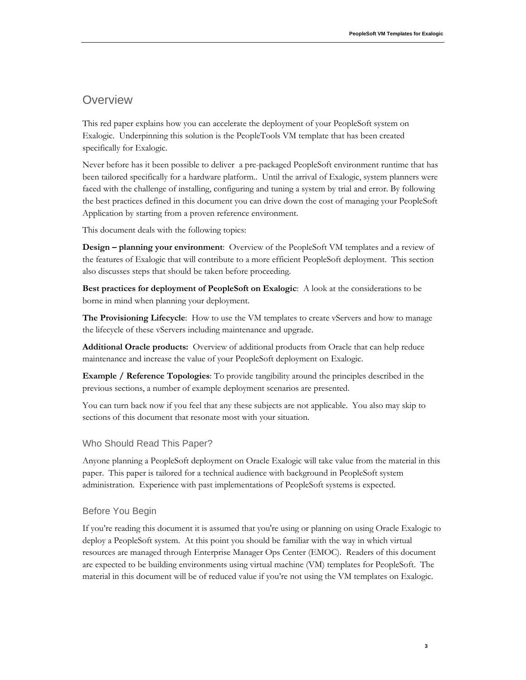# **Overview**

This red paper explains how you can accelerate the deployment of your PeopleSoft system on Exalogic. Underpinning this solution is the PeopleTools VM template that has been created specifically for Exalogic.

Never before has it been possible to deliver a pre-packaged PeopleSoft environment runtime that has been tailored specifically for a hardware platform.. Until the arrival of Exalogic, system planners were faced with the challenge of installing, configuring and tuning a system by trial and error. By following the best practices defined in this document you can drive down the cost of managing your PeopleSoft Application by starting from a proven reference environment.

This document deals with the following topics:

**Design – planning your environment**: Overview of the PeopleSoft VM templates and a review of the features of Exalogic that will contribute to a more efficient PeopleSoft deployment. This section also discusses steps that should be taken before proceeding.

**Best practices for deployment of PeopleSoft on Exalogic:** A look at the considerations to be borne in mind when planning your deployment.

The Provisioning Lifecycle: How to use the VM templates to create vServers and how to manage the lifecycle of these vServers including maintenance and upgrade.

**Additional Oracle products:** Overview of additional products from Oracle that can help reduce maintenance and increase the value of your PeopleSoft deployment on Exalogic.

**Example / Reference Topologies**: To provide tangibility around the principles described in the previous sections, a number of example deployment scenarios are presented.

You can turn back now if you feel that any these subjects are not applicable. You also may skip to sections of this document that resonate most with your situation.

# Who Should Read This Paper?

Anyone planning a PeopleSoft deployment on Oracle Exalogic will take value from the material in this paper. This paper is tailored for a technical audience with background in PeopleSoft system administration. Experience with past implementations of PeopleSoft systems is expected.

# Before You Begin

If you're reading this document it is assumed that you're using or planning on using Oracle Exalogic to deploy a PeopleSoft system. At this point you should be familiar with the way in which virtual resources are managed through Enterprise Manager Ops Center (EMOC). Readers of this document are expected to be building environments using virtual machine (VM) templates for PeopleSoft. The material in this document will be of reduced value if you're not using the VM templates on Exalogic.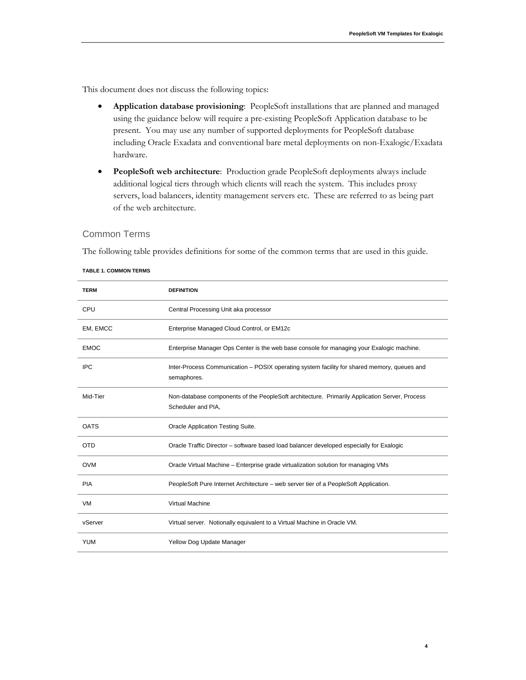**4** 

This document does not discuss the following topics:

- **Application database provisioning**: PeopleSoft installations that are planned and managed using the guidance below will require a pre-existing PeopleSoft Application database to be present. You may use any number of supported deployments for PeopleSoft database including Oracle Exadata and conventional bare metal deployments on non-Exalogic/Exadata hardware.
- **PeopleSoft web architecture**: Production grade PeopleSoft deployments always include additional logical tiers through which clients will reach the system. This includes proxy servers, load balancers, identity management servers etc. These are referred to as being part of the web architecture.

# Common Terms

The following table provides definitions for some of the common terms that are used in this guide.

| <b>TERM</b> | <b>DEFINITION</b>                                                                                                   |
|-------------|---------------------------------------------------------------------------------------------------------------------|
| CPU         | Central Processing Unit aka processor                                                                               |
| EM, EMCC    | Enterprise Managed Cloud Control, or EM12c                                                                          |
| <b>EMOC</b> | Enterprise Manager Ops Center is the web base console for managing your Exalogic machine.                           |
| <b>IPC</b>  | Inter-Process Communication - POSIX operating system facility for shared memory, queues and<br>semaphores.          |
| Mid-Tier    | Non-database components of the PeopleSoft architecture. Primarily Application Server, Process<br>Scheduler and PIA, |
| <b>OATS</b> | <b>Oracle Application Testing Suite.</b>                                                                            |
| <b>OTD</b>  | Oracle Traffic Director - software based load balancer developed especially for Exalogic                            |
| <b>OVM</b>  | Oracle Virtual Machine - Enterprise grade virtualization solution for managing VMs                                  |
| <b>PIA</b>  | PeopleSoft Pure Internet Architecture - web server tier of a PeopleSoft Application.                                |
| VM          | <b>Virtual Machine</b>                                                                                              |
| vServer     | Virtual server. Notionally equivalent to a Virtual Machine in Oracle VM.                                            |
| <b>YUM</b>  | Yellow Dog Update Manager                                                                                           |

#### **TABLE 1. COMMON TERMS**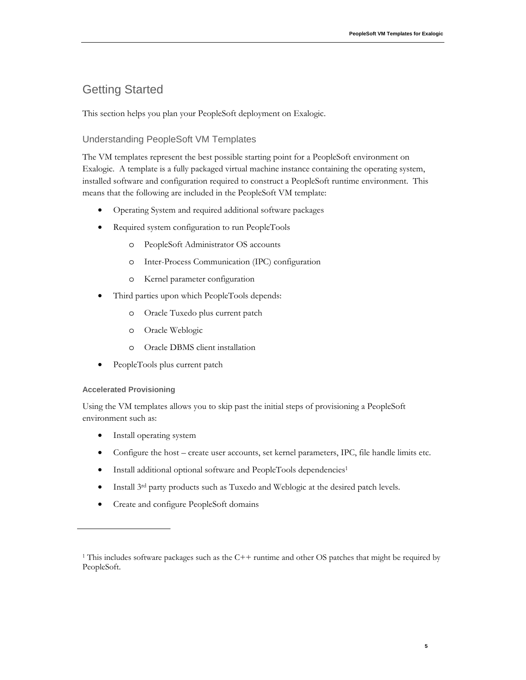# Getting Started

This section helps you plan your PeopleSoft deployment on Exalogic.

# Understanding PeopleSoft VM Templates

The VM templates represent the best possible starting point for a PeopleSoft environment on Exalogic. A template is a fully packaged virtual machine instance containing the operating system, installed software and configuration required to construct a PeopleSoft runtime environment. This means that the following are included in the PeopleSoft VM template:

- Operating System and required additional software packages
- Required system configuration to run PeopleTools
	- o PeopleSoft Administrator OS accounts
	- o Inter-Process Communication (IPC) configuration
	- o Kernel parameter configuration
- Third parties upon which PeopleTools depends:
	- o Oracle Tuxedo plus current patch
	- o Oracle Weblogic
	- o Oracle DBMS client installation
- PeopleTools plus current patch

# **Accelerated Provisioning**

Using the VM templates allows you to skip past the initial steps of provisioning a PeopleSoft environment such as:

- Install operating system
- Configure the host create user accounts, set kernel parameters, IPC, file handle limits etc.
- Install additional optional software and PeopleTools dependencies<sup>1</sup>
- Install  $3^{rd}$  party products such as Tuxedo and Weblogic at the desired patch levels.
- Create and configure PeopleSoft domains

<sup>&</sup>lt;sup>1</sup> This includes software packages such as the  $C++$  runtime and other OS patches that might be required by PeopleSoft.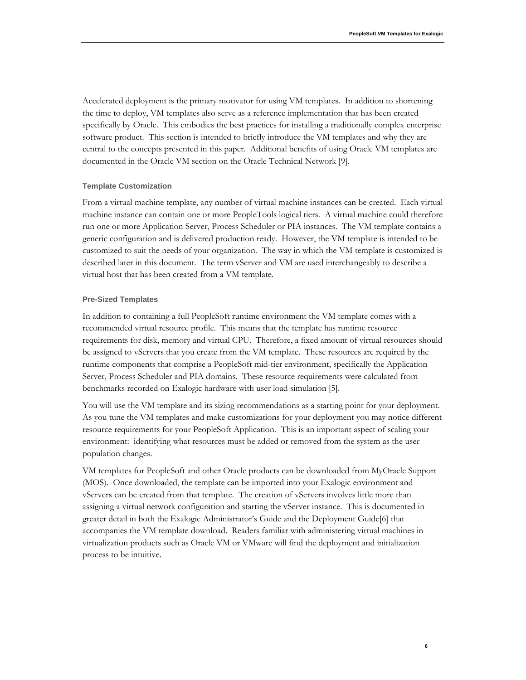Accelerated deployment is the primary motivator for using VM templates. In addition to shortening the time to deploy, VM templates also serve as a reference implementation that has been created specifically by Oracle. This embodies the best practices for installing a traditionally complex enterprise software product. This section is intended to briefly introduce the VM templates and why they are central to the concepts presented in this paper. Additional benefits of using Oracle VM templates are documented in the Oracle VM section on the Oracle Technical Network [9].

#### **Template Customization**

From a virtual machine template, any number of virtual machine instances can be created. Each virtual machine instance can contain one or more PeopleTools logical tiers. A virtual machine could therefore run one or more Application Server, Process Scheduler or PIA instances. The VM template contains a generic configuration and is delivered production ready. However, the VM template is intended to be customized to suit the needs of your organization. The way in which the VM template is customized is described later in this document. The term vServer and VM are used interchangeably to describe a virtual host that has been created from a VM template.

#### **Pre-Sized Templates**

In addition to containing a full PeopleSoft runtime environment the VM template comes with a recommended virtual resource profile. This means that the template has runtime resource requirements for disk, memory and virtual CPU. Therefore, a fixed amount of virtual resources should be assigned to vServers that you create from the VM template. These resources are required by the runtime components that comprise a PeopleSoft mid-tier environment, specifically the Application Server, Process Scheduler and PIA domains. These resource requirements were calculated from benchmarks recorded on Exalogic hardware with user load simulation [5].

You will use the VM template and its sizing recommendations as a starting point for your deployment. As you tune the VM templates and make customizations for your deployment you may notice different resource requirements for your PeopleSoft Application. This is an important aspect of scaling your environment: identifying what resources must be added or removed from the system as the user population changes.

VM templates for PeopleSoft and other Oracle products can be downloaded from MyOracle Support (MOS). Once downloaded, the template can be imported into your Exalogic environment and vServers can be created from that template. The creation of vServers involves little more than assigning a virtual network configuration and starting the vServer instance. This is documented in greater detail in both the Exalogic Administrator's Guide and the Deployment Guide[6] that accompanies the VM template download. Readers familiar with administering virtual machines in virtualization products such as Oracle VM or VMware will find the deployment and initialization process to be intuitive.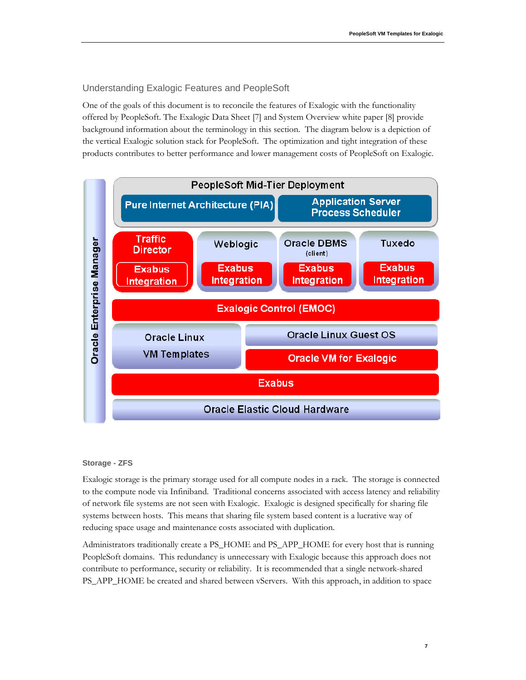# Understanding Exalogic Features and PeopleSoft

One of the goals of this document is to reconcile the features of Exalogic with the functionality offered by PeopleSoft. The Exalogic Data Sheet [7] and System Overview white paper [8] provide background information about the terminology in this section. The diagram below is a depiction of the vertical Exalogic solution stack for PeopleSoft. The optimization and tight integration of these products contributes to better performance and lower management costs of PeopleSoft on Exalogic.



# **Storage - ZFS**

Exalogic storage is the primary storage used for all compute nodes in a rack. The storage is connected to the compute node via Infiniband. Traditional concerns associated with access latency and reliability of network file systems are not seen with Exalogic. Exalogic is designed specifically for sharing file systems between hosts. This means that sharing file system based content is a lucrative way of reducing space usage and maintenance costs associated with duplication.

Administrators traditionally create a PS\_HOME and PS\_APP\_HOME for every host that is running PeopleSoft domains. This redundancy is unnecessary with Exalogic because this approach does not contribute to performance, security or reliability. It is recommended that a single network-shared PS\_APP\_HOME be created and shared between vServers. With this approach, in addition to space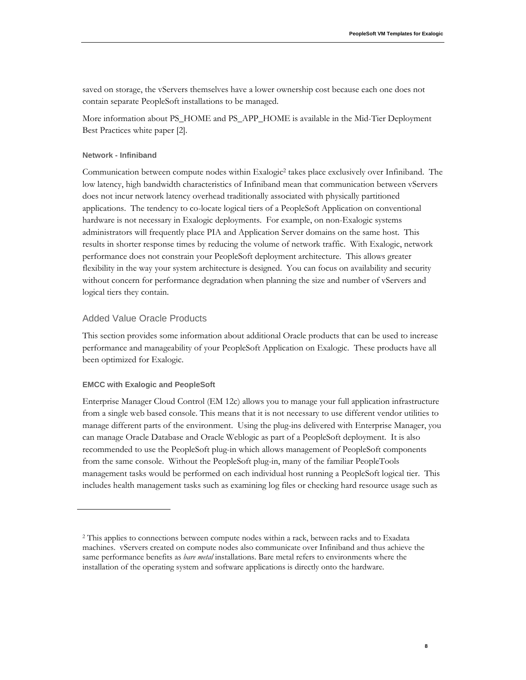saved on storage, the vServers themselves have a lower ownership cost because each one does not contain separate PeopleSoft installations to be managed.

More information about PS\_HOME and PS\_APP\_HOME is available in the Mid-Tier Deployment Best Practices white paper [2].

#### **Network - Infiniband**

Communication between compute nodes within Exalogic<sup>2</sup> takes place exclusively over Infiniband. The low latency, high bandwidth characteristics of Infiniband mean that communication between vServers does not incur network latency overhead traditionally associated with physically partitioned applications. The tendency to co-locate logical tiers of a PeopleSoft Application on conventional hardware is not necessary in Exalogic deployments. For example, on non-Exalogic systems administrators will frequently place PIA and Application Server domains on the same host. This results in shorter response times by reducing the volume of network traffic. With Exalogic, network performance does not constrain your PeopleSoft deployment architecture. This allows greater flexibility in the way your system architecture is designed. You can focus on availability and security without concern for performance degradation when planning the size and number of vServers and logical tiers they contain.

# Added Value Oracle Products

This section provides some information about additional Oracle products that can be used to increase performance and manageability of your PeopleSoft Application on Exalogic. These products have all been optimized for Exalogic.

# **EMCC with Exalogic and PeopleSoft**

Enterprise Manager Cloud Control (EM 12c) allows you to manage your full application infrastructure from a single web based console. This means that it is not necessary to use different vendor utilities to manage different parts of the environment. Using the plug-ins delivered with Enterprise Manager, you can manage Oracle Database and Oracle Weblogic as part of a PeopleSoft deployment. It is also recommended to use the PeopleSoft plug-in which allows management of PeopleSoft components from the same console. Without the PeopleSoft plug-in, many of the familiar PeopleTools management tasks would be performed on each individual host running a PeopleSoft logical tier. This includes health management tasks such as examining log files or checking hard resource usage such as

<sup>2</sup> This applies to connections between compute nodes within a rack, between racks and to Exadata machines. vServers created on compute nodes also communicate over Infiniband and thus achieve the same performance benefits as *bare metal* installations. Bare metal refers to environments where the installation of the operating system and software applications is directly onto the hardware.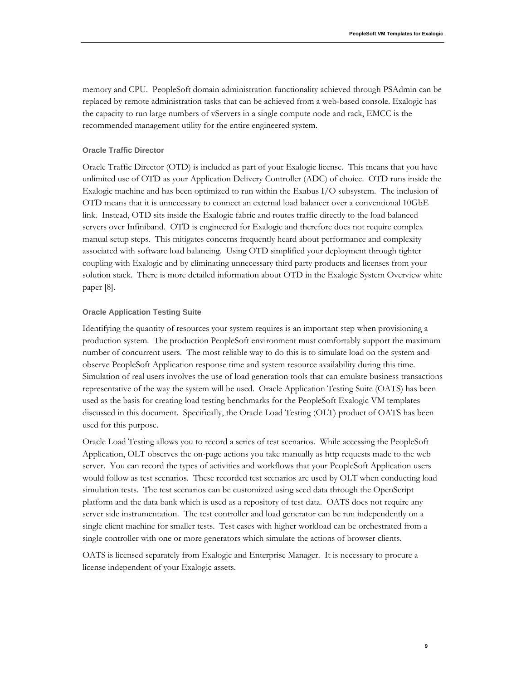memory and CPU. PeopleSoft domain administration functionality achieved through PSAdmin can be replaced by remote administration tasks that can be achieved from a web-based console. Exalogic has the capacity to run large numbers of vServers in a single compute node and rack, EMCC is the recommended management utility for the entire engineered system.

#### **Oracle Traffic Director**

Oracle Traffic Director (OTD) is included as part of your Exalogic license. This means that you have unlimited use of OTD as your Application Delivery Controller (ADC) of choice. OTD runs inside the Exalogic machine and has been optimized to run within the Exabus I/O subsystem. The inclusion of OTD means that it is unnecessary to connect an external load balancer over a conventional 10GbE link. Instead, OTD sits inside the Exalogic fabric and routes traffic directly to the load balanced servers over Infiniband. OTD is engineered for Exalogic and therefore does not require complex manual setup steps. This mitigates concerns frequently heard about performance and complexity associated with software load balancing. Using OTD simplified your deployment through tighter coupling with Exalogic and by eliminating unnecessary third party products and licenses from your solution stack. There is more detailed information about OTD in the Exalogic System Overview white paper [8].

#### **Oracle Application Testing Suite**

Identifying the quantity of resources your system requires is an important step when provisioning a production system. The production PeopleSoft environment must comfortably support the maximum number of concurrent users. The most reliable way to do this is to simulate load on the system and observe PeopleSoft Application response time and system resource availability during this time. Simulation of real users involves the use of load generation tools that can emulate business transactions representative of the way the system will be used. Oracle Application Testing Suite (OATS) has been used as the basis for creating load testing benchmarks for the PeopleSoft Exalogic VM templates discussed in this document. Specifically, the Oracle Load Testing (OLT) product of OATS has been used for this purpose.

Oracle Load Testing allows you to record a series of test scenarios. While accessing the PeopleSoft Application, OLT observes the on-page actions you take manually as http requests made to the web server. You can record the types of activities and workflows that your PeopleSoft Application users would follow as test scenarios. These recorded test scenarios are used by OLT when conducting load simulation tests. The test scenarios can be customized using seed data through the OpenScript platform and the data bank which is used as a repository of test data. OATS does not require any server side instrumentation. The test controller and load generator can be run independently on a single client machine for smaller tests. Test cases with higher workload can be orchestrated from a single controller with one or more generators which simulate the actions of browser clients.

OATS is licensed separately from Exalogic and Enterprise Manager. It is necessary to procure a license independent of your Exalogic assets.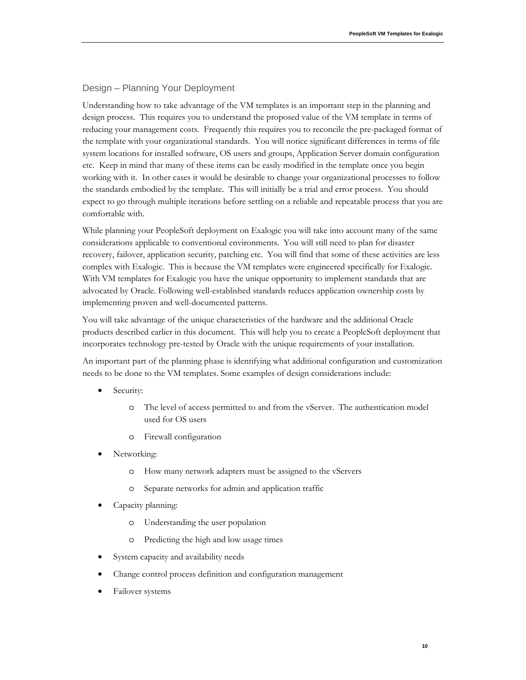# Design – Planning Your Deployment

Understanding how to take advantage of the VM templates is an important step in the planning and design process. This requires you to understand the proposed value of the VM template in terms of reducing your management costs. Frequently this requires you to reconcile the pre-packaged format of the template with your organizational standards. You will notice significant differences in terms of file system locations for installed software, OS users and groups, Application Server domain configuration etc. Keep in mind that many of these items can be easily modified in the template once you begin working with it. In other cases it would be desirable to change your organizational processes to follow the standards embodied by the template. This will initially be a trial and error process. You should expect to go through multiple iterations before settling on a reliable and repeatable process that you are comfortable with.

While planning your PeopleSoft deployment on Exalogic you will take into account many of the same considerations applicable to conventional environments. You will still need to plan for disaster recovery, failover, application security, patching etc. You will find that some of these activities are less complex with Exalogic. This is because the VM templates were engineered specifically for Exalogic. With VM templates for Exalogic you have the unique opportunity to implement standards that are advocated by Oracle. Following well-established standards reduces application ownership costs by implementing proven and well-documented patterns.

You will take advantage of the unique characteristics of the hardware and the additional Oracle products described earlier in this document. This will help you to create a PeopleSoft deployment that incorporates technology pre-tested by Oracle with the unique requirements of your installation.

An important part of the planning phase is identifying what additional configuration and customization needs to be done to the VM templates. Some examples of design considerations include:

- Security:
	- o The level of access permitted to and from the vServer. The authentication model used for OS users
	- o Firewall configuration
- Networking:
	- o How many network adapters must be assigned to the vServers
	- o Separate networks for admin and application traffic
- Capacity planning:
	- o Understanding the user population
	- o Predicting the high and low usage times
- System capacity and availability needs
- Change control process definition and configuration management
- Failover systems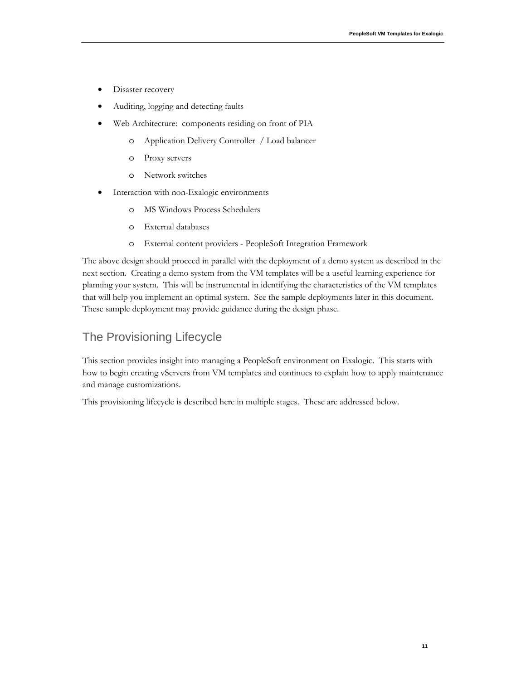- Disaster recovery
- Auditing, logging and detecting faults
- Web Architecture: components residing on front of PIA
	- o Application Delivery Controller / Load balancer
	- o Proxy servers
	- o Network switches
- Interaction with non-Exalogic environments
	- o MS Windows Process Schedulers
	- o External databases
	- o External content providers PeopleSoft Integration Framework

The above design should proceed in parallel with the deployment of a demo system as described in the next section. Creating a demo system from the VM templates will be a useful learning experience for planning your system. This will be instrumental in identifying the characteristics of the VM templates that will help you implement an optimal system. See the sample deployments later in this document. These sample deployment may provide guidance during the design phase.

# The Provisioning Lifecycle

This section provides insight into managing a PeopleSoft environment on Exalogic. This starts with how to begin creating vServers from VM templates and continues to explain how to apply maintenance and manage customizations.

This provisioning lifecycle is described here in multiple stages. These are addressed below.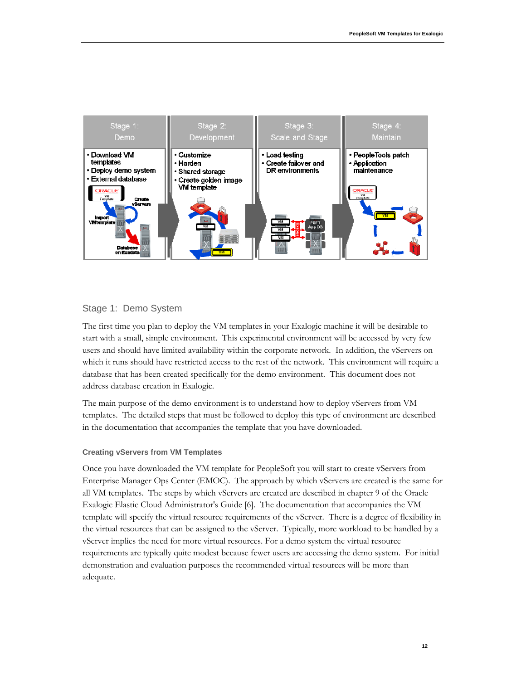

# Stage 1: Demo System

The first time you plan to deploy the VM templates in your Exalogic machine it will be desirable to start with a small, simple environment. This experimental environment will be accessed by very few users and should have limited availability within the corporate network. In addition, the vServers on which it runs should have restricted access to the rest of the network. This environment will require a database that has been created specifically for the demo environment. This document does not address database creation in Exalogic.

The main purpose of the demo environment is to understand how to deploy vServers from VM templates. The detailed steps that must be followed to deploy this type of environment are described in the documentation that accompanies the template that you have downloaded.

# **Creating vServers from VM Templates**

Once you have downloaded the VM template for PeopleSoft you will start to create vServers from Enterprise Manager Ops Center (EMOC). The approach by which vServers are created is the same for all VM templates. The steps by which vServers are created are described in chapter 9 of the Oracle Exalogic Elastic Cloud Administrator's Guide [6]. The documentation that accompanies the VM template will specify the virtual resource requirements of the vServer. There is a degree of flexibility in the virtual resources that can be assigned to the vServer. Typically, more workload to be handled by a vServer implies the need for more virtual resources. For a demo system the virtual resource requirements are typically quite modest because fewer users are accessing the demo system. For initial demonstration and evaluation purposes the recommended virtual resources will be more than adequate.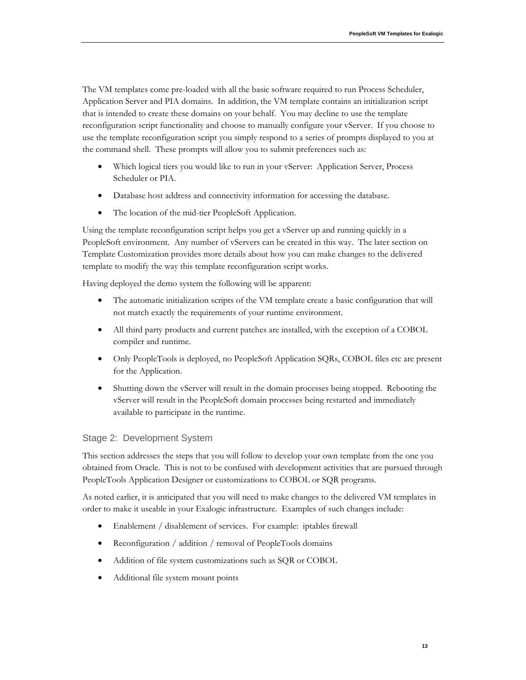The VM templates come pre-loaded with all the basic software required to run Process Scheduler, Application Server and PIA domains. In addition, the VM template contains an initialization script that is intended to create these domains on your behalf. You may decline to use the template reconfiguration script functionality and choose to manually configure your vServer. If you choose to use the template reconfiguration script you simply respond to a series of prompts displayed to you at the command shell. These prompts will allow you to submit preferences such as:

- Which logical tiers you would like to run in your vServer: Application Server, Process Scheduler or PIA.
- Database host address and connectivity information for accessing the database.
- The location of the mid-tier PeopleSoft Application.

Using the template reconfiguration script helps you get a vServer up and running quickly in a PeopleSoft environment. Any number of vServers can be created in this way. The later section on Template Customization provides more details about how you can make changes to the delivered template to modify the way this template reconfiguration script works.

Having deployed the demo system the following will be apparent:

- The automatic initialization scripts of the VM template create a basic configuration that will not match exactly the requirements of your runtime environment.
- All third party products and current patches are installed, with the exception of a COBOL compiler and runtime.
- Only PeopleTools is deployed, no PeopleSoft Application SQRs, COBOL files etc are present for the Application.
- Shutting down the vServer will result in the domain processes being stopped. Rebooting the vServer will result in the PeopleSoft domain processes being restarted and immediately available to participate in the runtime.

# Stage 2: Development System

This section addresses the steps that you will follow to develop your own template from the one you obtained from Oracle. This is not to be confused with development activities that are pursued through PeopleTools Application Designer or customizations to COBOL or SQR programs.

As noted earlier, it is anticipated that you will need to make changes to the delivered VM templates in order to make it useable in your Exalogic infrastructure. Examples of such changes include:

- Enablement / disablement of services. For example: iptables firewall
- Reconfiguration / addition / removal of PeopleTools domains
- Addition of file system customizations such as SQR or COBOL
- Additional file system mount points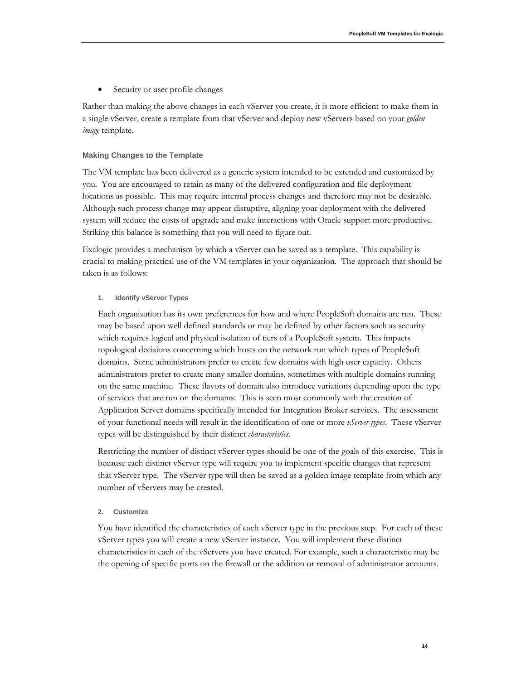Security or user profile changes

Rather than making the above changes in each vServer you create, it is more efficient to make them in a single vServer, create a template from that vServer and deploy new vServers based on your *golden image* template.

#### **Making Changes to the Template**

The VM template has been delivered as a generic system intended to be extended and customized by you. You are encouraged to retain as many of the delivered configuration and file deployment locations as possible. This may require internal process changes and therefore may not be desirable. Although such process change may appear disruptive, aligning your deployment with the delivered system will reduce the costs of upgrade and make interactions with Oracle support more productive. Striking this balance is something that you will need to figure out.

Exalogic provides a mechanism by which a vServer can be saved as a template. This capability is crucial to making practical use of the VM templates in your organization. The approach that should be taken is as follows:

#### **1. Identify vServer Types**

Each organization has its own preferences for how and where PeopleSoft domains are run. These may be based upon well defined standards or may be defined by other factors such as security which requires logical and physical isolation of tiers of a PeopleSoft system. This impacts topological decisions concerning which hosts on the network run which types of PeopleSoft domains. Some administrators prefer to create few domains with high user capacity. Others administrators prefer to create many smaller domains, sometimes with multiple domains running on the same machine. These flavors of domain also introduce variations depending upon the type of services that are run on the domains. This is seen most commonly with the creation of Application Server domains specifically intended for Integration Broker services. The assessment of your functional needs will result in the identification of one or more *vServer types*. These vServer types will be distinguished by their distinct *characteristics*.

Restricting the number of distinct vServer types should be one of the goals of this exercise. This is because each distinct vServer type will require you to implement specific changes that represent that vServer type. The vServer type will then be saved as a golden image template from which any number of vServers may be created.

#### **2. Customize**

You have identified the characteristics of each vServer type in the previous step. For each of these vServer types you will create a new vServer instance. You will implement these distinct characteristics in each of the vServers you have created. For example, such a characteristic may be the opening of specific ports on the firewall or the addition or removal of administrator accounts.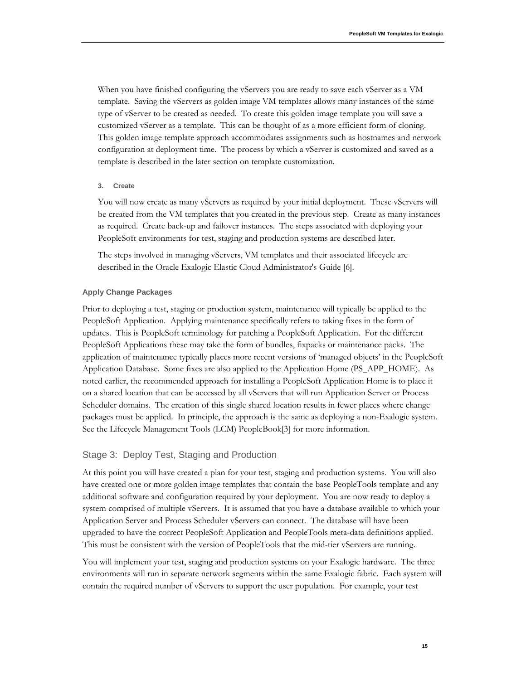When you have finished configuring the vServers you are ready to save each vServer as a VM template. Saving the vServers as golden image VM templates allows many instances of the same type of vServer to be created as needed. To create this golden image template you will save a customized vServer as a template. This can be thought of as a more efficient form of cloning. This golden image template approach accommodates assignments such as hostnames and network configuration at deployment time. The process by which a vServer is customized and saved as a template is described in the later section on template customization.

#### **3. Create**

You will now create as many vServers as required by your initial deployment. These vServers will be created from the VM templates that you created in the previous step. Create as many instances as required. Create back-up and failover instances. The steps associated with deploying your PeopleSoft environments for test, staging and production systems are described later.

The steps involved in managing vServers, VM templates and their associated lifecycle are described in the Oracle Exalogic Elastic Cloud Administrator's Guide [6].

#### **Apply Change Packages**

Prior to deploying a test, staging or production system, maintenance will typically be applied to the PeopleSoft Application. Applying maintenance specifically refers to taking fixes in the form of updates. This is PeopleSoft terminology for patching a PeopleSoft Application. For the different PeopleSoft Applications these may take the form of bundles, fixpacks or maintenance packs. The application of maintenance typically places more recent versions of 'managed objects' in the PeopleSoft Application Database. Some fixes are also applied to the Application Home (PS\_APP\_HOME). As noted earlier, the recommended approach for installing a PeopleSoft Application Home is to place it on a shared location that can be accessed by all vServers that will run Application Server or Process Scheduler domains. The creation of this single shared location results in fewer places where change packages must be applied. In principle, the approach is the same as deploying a non-Exalogic system. See the Lifecycle Management Tools (LCM) PeopleBook[3] for more information.

# Stage 3: Deploy Test, Staging and Production

At this point you will have created a plan for your test, staging and production systems. You will also have created one or more golden image templates that contain the base PeopleTools template and any additional software and configuration required by your deployment. You are now ready to deploy a system comprised of multiple vServers. It is assumed that you have a database available to which your Application Server and Process Scheduler vServers can connect. The database will have been upgraded to have the correct PeopleSoft Application and PeopleTools meta-data definitions applied. This must be consistent with the version of PeopleTools that the mid-tier vServers are running.

You will implement your test, staging and production systems on your Exalogic hardware. The three environments will run in separate network segments within the same Exalogic fabric. Each system will contain the required number of vServers to support the user population. For example, your test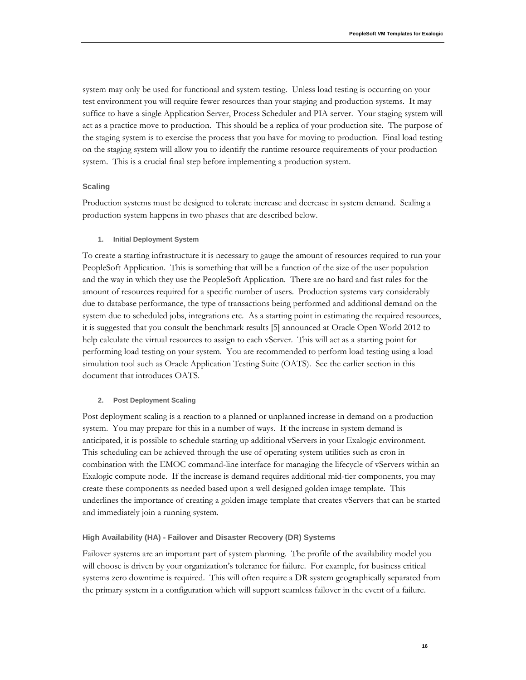system may only be used for functional and system testing. Unless load testing is occurring on your test environment you will require fewer resources than your staging and production systems. It may suffice to have a single Application Server, Process Scheduler and PIA server. Your staging system will act as a practice move to production. This should be a replica of your production site. The purpose of the staging system is to exercise the process that you have for moving to production. Final load testing on the staging system will allow you to identify the runtime resource requirements of your production system. This is a crucial final step before implementing a production system.

#### **Scaling**

Production systems must be designed to tolerate increase and decrease in system demand. Scaling a production system happens in two phases that are described below.

#### **1. Initial Deployment System**

To create a starting infrastructure it is necessary to gauge the amount of resources required to run your PeopleSoft Application. This is something that will be a function of the size of the user population and the way in which they use the PeopleSoft Application. There are no hard and fast rules for the amount of resources required for a specific number of users. Production systems vary considerably due to database performance, the type of transactions being performed and additional demand on the system due to scheduled jobs, integrations etc. As a starting point in estimating the required resources, it is suggested that you consult the benchmark results [5] announced at Oracle Open World 2012 to help calculate the virtual resources to assign to each vServer. This will act as a starting point for performing load testing on your system. You are recommended to perform load testing using a load simulation tool such as Oracle Application Testing Suite (OATS). See the earlier section in this document that introduces OATS.

#### **2. Post Deployment Scaling**

Post deployment scaling is a reaction to a planned or unplanned increase in demand on a production system. You may prepare for this in a number of ways. If the increase in system demand is anticipated, it is possible to schedule starting up additional vServers in your Exalogic environment. This scheduling can be achieved through the use of operating system utilities such as cron in combination with the EMOC command-line interface for managing the lifecycle of vServers within an Exalogic compute node. If the increase is demand requires additional mid-tier components, you may create these components as needed based upon a well designed golden image template. This underlines the importance of creating a golden image template that creates vServers that can be started and immediately join a running system.

#### **High Availability (HA) - Failover and Disaster Recovery (DR) Systems**

Failover systems are an important part of system planning. The profile of the availability model you will choose is driven by your organization's tolerance for failure. For example, for business critical systems zero downtime is required. This will often require a DR system geographically separated from the primary system in a configuration which will support seamless failover in the event of a failure.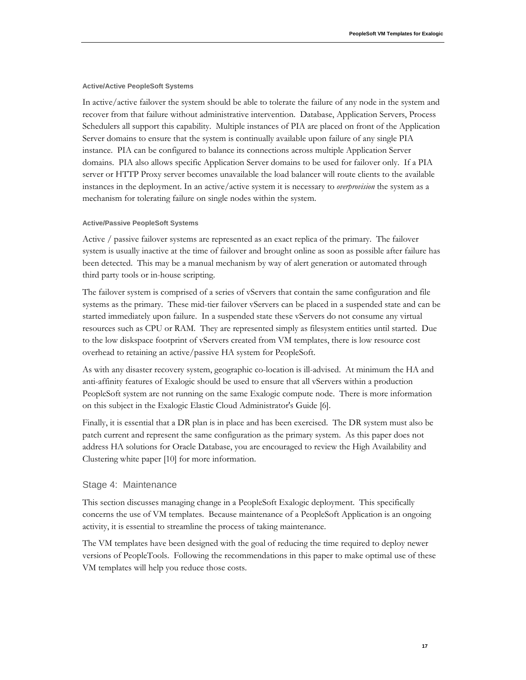#### **Active/Active PeopleSoft Systems**

In active/active failover the system should be able to tolerate the failure of any node in the system and recover from that failure without administrative intervention. Database, Application Servers, Process Schedulers all support this capability. Multiple instances of PIA are placed on front of the Application Server domains to ensure that the system is continually available upon failure of any single PIA instance. PIA can be configured to balance its connections across multiple Application Server domains. PIA also allows specific Application Server domains to be used for failover only. If a PIA server or HTTP Proxy server becomes unavailable the load balancer will route clients to the available instances in the deployment. In an active/active system it is necessary to *overprovision* the system as a mechanism for tolerating failure on single nodes within the system.

#### **Active/Passive PeopleSoft Systems**

Active / passive failover systems are represented as an exact replica of the primary. The failover system is usually inactive at the time of failover and brought online as soon as possible after failure has been detected. This may be a manual mechanism by way of alert generation or automated through third party tools or in-house scripting.

The failover system is comprised of a series of vServers that contain the same configuration and file systems as the primary. These mid-tier failover vServers can be placed in a suspended state and can be started immediately upon failure. In a suspended state these vServers do not consume any virtual resources such as CPU or RAM. They are represented simply as filesystem entities until started. Due to the low diskspace footprint of vServers created from VM templates, there is low resource cost overhead to retaining an active/passive HA system for PeopleSoft.

As with any disaster recovery system, geographic co-location is ill-advised. At minimum the HA and anti-affinity features of Exalogic should be used to ensure that all vServers within a production PeopleSoft system are not running on the same Exalogic compute node. There is more information on this subject in the Exalogic Elastic Cloud Administrator's Guide [6].

Finally, it is essential that a DR plan is in place and has been exercised. The DR system must also be patch current and represent the same configuration as the primary system. As this paper does not address HA solutions for Oracle Database, you are encouraged to review the High Availability and Clustering white paper [10] for more information.

#### Stage 4: Maintenance

This section discusses managing change in a PeopleSoft Exalogic deployment. This specifically concerns the use of VM templates. Because maintenance of a PeopleSoft Application is an ongoing activity, it is essential to streamline the process of taking maintenance.

The VM templates have been designed with the goal of reducing the time required to deploy newer versions of PeopleTools. Following the recommendations in this paper to make optimal use of these VM templates will help you reduce those costs.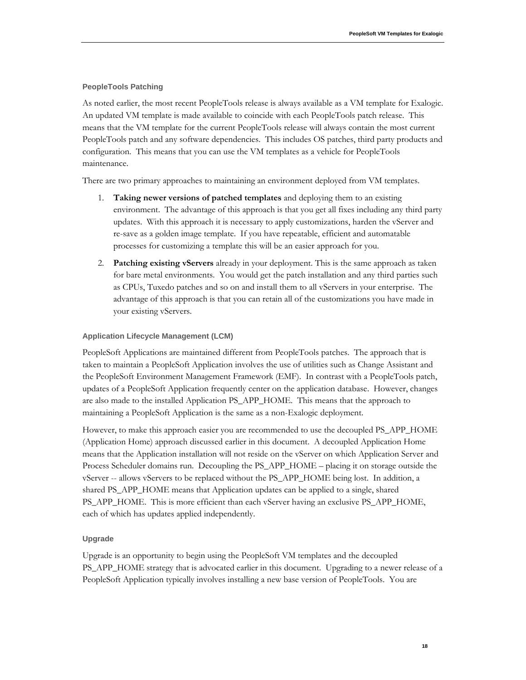#### **PeopleTools Patching**

As noted earlier, the most recent PeopleTools release is always available as a VM template for Exalogic. An updated VM template is made available to coincide with each PeopleTools patch release. This means that the VM template for the current PeopleTools release will always contain the most current PeopleTools patch and any software dependencies. This includes OS patches, third party products and configuration. This means that you can use the VM templates as a vehicle for PeopleTools maintenance.

There are two primary approaches to maintaining an environment deployed from VM templates.

- 1. **Taking newer versions of patched templates** and deploying them to an existing environment. The advantage of this approach is that you get all fixes including any third party updates. With this approach it is necessary to apply customizations, harden the vServer and re-save as a golden image template. If you have repeatable, efficient and automatable processes for customizing a template this will be an easier approach for you.
- 2. **Patching existing vServers** already in your deployment. This is the same approach as taken for bare metal environments. You would get the patch installation and any third parties such as CPUs, Tuxedo patches and so on and install them to all vServers in your enterprise. The advantage of this approach is that you can retain all of the customizations you have made in your existing vServers.

#### **Application Lifecycle Management (LCM)**

PeopleSoft Applications are maintained different from PeopleTools patches. The approach that is taken to maintain a PeopleSoft Application involves the use of utilities such as Change Assistant and the PeopleSoft Environment Management Framework (EMF). In contrast with a PeopleTools patch, updates of a PeopleSoft Application frequently center on the application database. However, changes are also made to the installed Application PS\_APP\_HOME. This means that the approach to maintaining a PeopleSoft Application is the same as a non-Exalogic deployment.

However, to make this approach easier you are recommended to use the decoupled PS\_APP\_HOME (Application Home) approach discussed earlier in this document. A decoupled Application Home means that the Application installation will not reside on the vServer on which Application Server and Process Scheduler domains run. Decoupling the PS\_APP\_HOME – placing it on storage outside the vServer -- allows vServers to be replaced without the PS\_APP\_HOME being lost. In addition, a shared PS\_APP\_HOME means that Application updates can be applied to a single, shared PS\_APP\_HOME. This is more efficient than each vServer having an exclusive PS\_APP\_HOME, each of which has updates applied independently.

# **Upgrade**

Upgrade is an opportunity to begin using the PeopleSoft VM templates and the decoupled PS\_APP\_HOME strategy that is advocated earlier in this document. Upgrading to a newer release of a PeopleSoft Application typically involves installing a new base version of PeopleTools. You are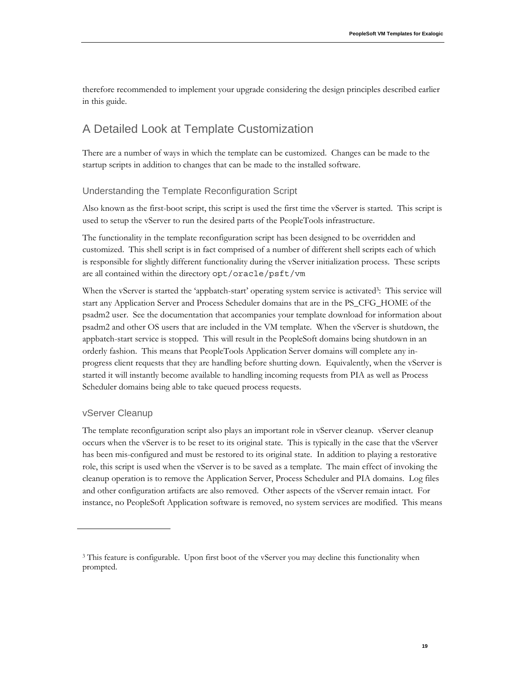therefore recommended to implement your upgrade considering the design principles described earlier in this guide.

# A Detailed Look at Template Customization

There are a number of ways in which the template can be customized. Changes can be made to the startup scripts in addition to changes that can be made to the installed software.

# Understanding the Template Reconfiguration Script

Also known as the first-boot script, this script is used the first time the vServer is started. This script is used to setup the vServer to run the desired parts of the PeopleTools infrastructure.

The functionality in the template reconfiguration script has been designed to be overridden and customized. This shell script is in fact comprised of a number of different shell scripts each of which is responsible for slightly different functionality during the vServer initialization process. These scripts are all contained within the directory opt/oracle/psft/vm

When the vServer is started the 'appbatch-start' operating system service is activated<sup>3</sup>: This service will start any Application Server and Process Scheduler domains that are in the PS\_CFG\_HOME of the psadm2 user. See the documentation that accompanies your template download for information about psadm2 and other OS users that are included in the VM template. When the vServer is shutdown, the appbatch-start service is stopped. This will result in the PeopleSoft domains being shutdown in an orderly fashion. This means that PeopleTools Application Server domains will complete any inprogress client requests that they are handling before shutting down. Equivalently, when the vServer is started it will instantly become available to handling incoming requests from PIA as well as Process Scheduler domains being able to take queued process requests.

# vServer Cleanup

The template reconfiguration script also plays an important role in vServer cleanup. vServer cleanup occurs when the vServer is to be reset to its original state. This is typically in the case that the vServer has been mis-configured and must be restored to its original state. In addition to playing a restorative role, this script is used when the vServer is to be saved as a template. The main effect of invoking the cleanup operation is to remove the Application Server, Process Scheduler and PIA domains. Log files and other configuration artifacts are also removed. Other aspects of the vServer remain intact. For instance, no PeopleSoft Application software is removed, no system services are modified. This means

<sup>&</sup>lt;sup>3</sup> This feature is configurable. Upon first boot of the vServer you may decline this functionality when prompted.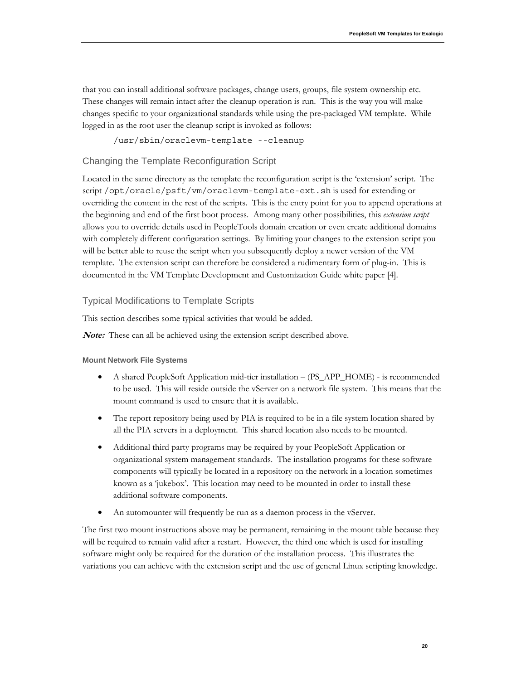that you can install additional software packages, change users, groups, file system ownership etc. These changes will remain intact after the cleanup operation is run. This is the way you will make changes specific to your organizational standards while using the pre-packaged VM template. While logged in as the root user the cleanup script is invoked as follows:

/usr/sbin/oraclevm-template --cleanup

# Changing the Template Reconfiguration Script

Located in the same directory as the template the reconfiguration script is the 'extension' script. The script /opt/oracle/psft/vm/oraclevm-template-ext.sh is used for extending or overriding the content in the rest of the scripts. This is the entry point for you to append operations at the beginning and end of the first boot process. Among many other possibilities, this *extension script* allows you to override details used in PeopleTools domain creation or even create additional domains with completely different configuration settings. By limiting your changes to the extension script you will be better able to reuse the script when you subsequently deploy a newer version of the VM template. The extension script can therefore be considered a rudimentary form of plug-in. This is documented in the VM Template Development and Customization Guide white paper [4].

# Typical Modifications to Template Scripts

This section describes some typical activities that would be added.

**Note:** These can all be achieved using the extension script described above.

#### **Mount Network File Systems**

- A shared PeopleSoft Application mid-tier installation (PS\_APP\_HOME) is recommended to be used. This will reside outside the vServer on a network file system. This means that the mount command is used to ensure that it is available.
- The report repository being used by PIA is required to be in a file system location shared by all the PIA servers in a deployment. This shared location also needs to be mounted.
- Additional third party programs may be required by your PeopleSoft Application or organizational system management standards. The installation programs for these software components will typically be located in a repository on the network in a location sometimes known as a 'jukebox'. This location may need to be mounted in order to install these additional software components.
- An automounter will frequently be run as a daemon process in the vServer.

The first two mount instructions above may be permanent, remaining in the mount table because they will be required to remain valid after a restart. However, the third one which is used for installing software might only be required for the duration of the installation process. This illustrates the variations you can achieve with the extension script and the use of general Linux scripting knowledge.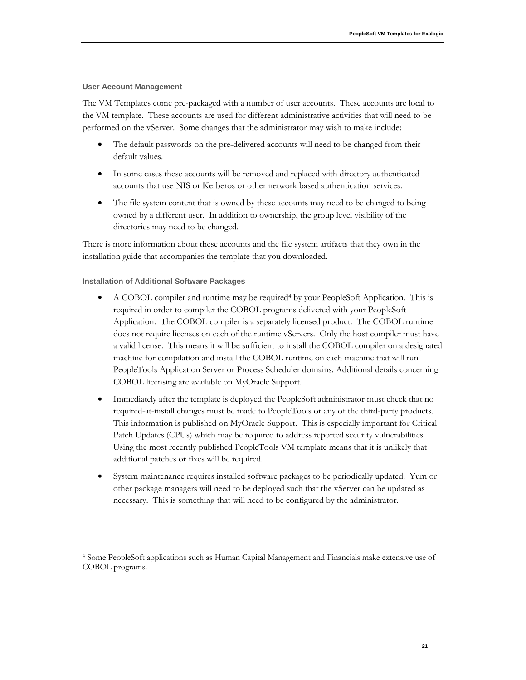#### **User Account Management**

The VM Templates come pre-packaged with a number of user accounts. These accounts are local to the VM template. These accounts are used for different administrative activities that will need to be performed on the vServer. Some changes that the administrator may wish to make include:

- The default passwords on the pre-delivered accounts will need to be changed from their default values.
- In some cases these accounts will be removed and replaced with directory authenticated accounts that use NIS or Kerberos or other network based authentication services.
- The file system content that is owned by these accounts may need to be changed to being owned by a different user. In addition to ownership, the group level visibility of the directories may need to be changed.

There is more information about these accounts and the file system artifacts that they own in the installation guide that accompanies the template that you downloaded.

#### **Installation of Additional Software Packages**

- A COBOL compiler and runtime may be required<sup>4</sup> by your PeopleSoft Application. This is required in order to compiler the COBOL programs delivered with your PeopleSoft Application. The COBOL compiler is a separately licensed product. The COBOL runtime does not require licenses on each of the runtime vServers. Only the host compiler must have a valid license. This means it will be sufficient to install the COBOL compiler on a designated machine for compilation and install the COBOL runtime on each machine that will run PeopleTools Application Server or Process Scheduler domains. Additional details concerning COBOL licensing are available on MyOracle Support.
- Immediately after the template is deployed the PeopleSoft administrator must check that no required-at-install changes must be made to PeopleTools or any of the third-party products. This information is published on MyOracle Support. This is especially important for Critical Patch Updates (CPUs) which may be required to address reported security vulnerabilities. Using the most recently published PeopleTools VM template means that it is unlikely that additional patches or fixes will be required.
- System maintenance requires installed software packages to be periodically updated. Yum or other package managers will need to be deployed such that the vServer can be updated as necessary. This is something that will need to be configured by the administrator.

<sup>4</sup> Some PeopleSoft applications such as Human Capital Management and Financials make extensive use of COBOL programs.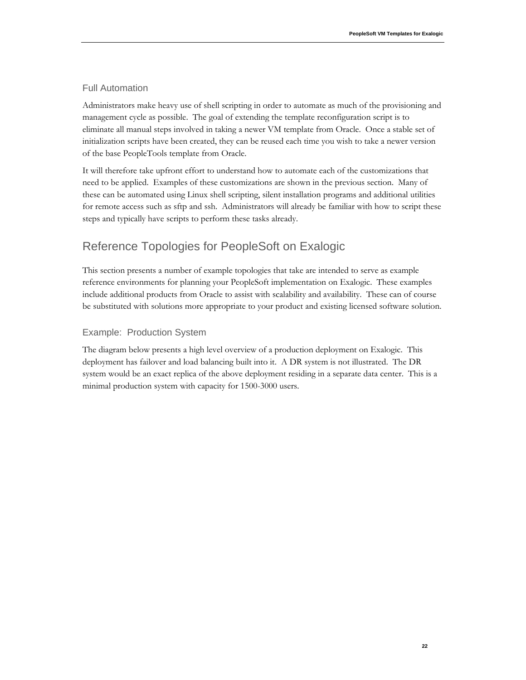# Full Automation

Administrators make heavy use of shell scripting in order to automate as much of the provisioning and management cycle as possible. The goal of extending the template reconfiguration script is to eliminate all manual steps involved in taking a newer VM template from Oracle. Once a stable set of initialization scripts have been created, they can be reused each time you wish to take a newer version of the base PeopleTools template from Oracle.

It will therefore take upfront effort to understand how to automate each of the customizations that need to be applied. Examples of these customizations are shown in the previous section. Many of these can be automated using Linux shell scripting, silent installation programs and additional utilities for remote access such as sftp and ssh. Administrators will already be familiar with how to script these steps and typically have scripts to perform these tasks already.

# Reference Topologies for PeopleSoft on Exalogic

This section presents a number of example topologies that take are intended to serve as example reference environments for planning your PeopleSoft implementation on Exalogic. These examples include additional products from Oracle to assist with scalability and availability. These can of course be substituted with solutions more appropriate to your product and existing licensed software solution.

# Example: Production System

The diagram below presents a high level overview of a production deployment on Exalogic. This deployment has failover and load balancing built into it. A DR system is not illustrated. The DR system would be an exact replica of the above deployment residing in a separate data center. This is a minimal production system with capacity for 1500-3000 users.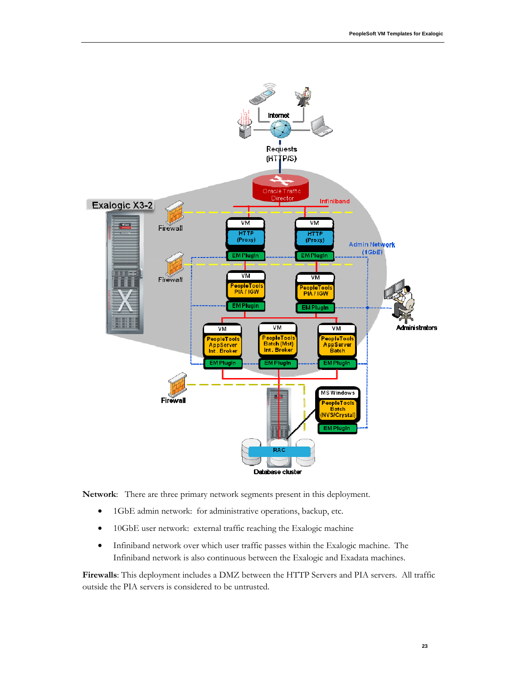

**Network**: There are three primary network segments present in this deployment.

- 1GbE admin network: for administrative operations, backup, etc.
- 10GbE user network: external traffic reaching the Exalogic machine
- Infiniband network over which user traffic passes within the Exalogic machine. The Infiniband network is also continuous between the Exalogic and Exadata machines.

**Firewalls**: This deployment includes a DMZ between the HTTP Servers and PIA servers. All traffic outside the PIA servers is considered to be untrusted.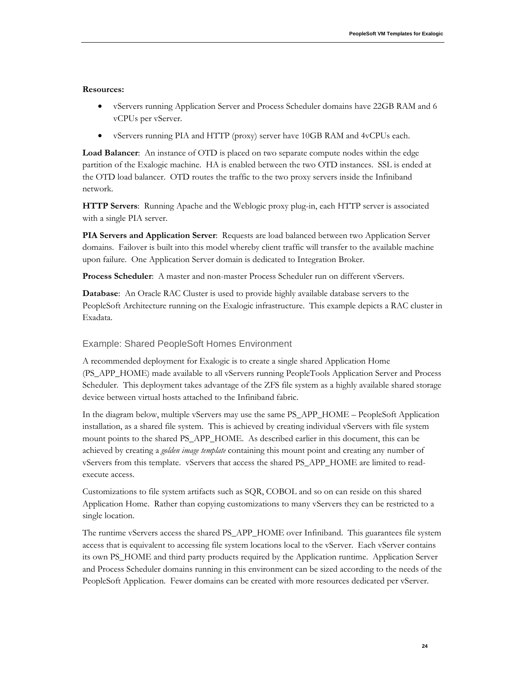#### **Resources:**

- vServers running Application Server and Process Scheduler domains have 22GB RAM and 6 vCPUs per vServer.
- vServers running PIA and HTTP (proxy) server have 10GB RAM and 4vCPUs each.

**Load Balancer**: An instance of OTD is placed on two separate compute nodes within the edge partition of the Exalogic machine. HA is enabled between the two OTD instances. SSL is ended at the OTD load balancer. OTD routes the traffic to the two proxy servers inside the Infiniband network.

**HTTP Servers**: Running Apache and the Weblogic proxy plug-in, each HTTP server is associated with a single PIA server.

**PIA Servers and Application Server**: Requests are load balanced between two Application Server domains. Failover is built into this model whereby client traffic will transfer to the available machine upon failure. One Application Server domain is dedicated to Integration Broker.

**Process Scheduler**: A master and non-master Process Scheduler run on different vServers.

**Database:** An Oracle RAC Cluster is used to provide highly available database servers to the PeopleSoft Architecture running on the Exalogic infrastructure. This example depicts a RAC cluster in Exadata.

### Example: Shared PeopleSoft Homes Environment

A recommended deployment for Exalogic is to create a single shared Application Home (PS\_APP\_HOME) made available to all vServers running PeopleTools Application Server and Process Scheduler. This deployment takes advantage of the ZFS file system as a highly available shared storage device between virtual hosts attached to the Infiniband fabric.

In the diagram below, multiple vServers may use the same PS\_APP\_HOME – PeopleSoft Application installation, as a shared file system. This is achieved by creating individual vServers with file system mount points to the shared PS\_APP\_HOME. As described earlier in this document, this can be achieved by creating a *golden image template* containing this mount point and creating any number of vServers from this template. vServers that access the shared PS\_APP\_HOME are limited to readexecute access.

Customizations to file system artifacts such as SQR, COBOL and so on can reside on this shared Application Home. Rather than copying customizations to many vServers they can be restricted to a single location.

The runtime vServers access the shared PS\_APP\_HOME over Infiniband. This guarantees file system access that is equivalent to accessing file system locations local to the vServer. Each vServer contains its own PS\_HOME and third party products required by the Application runtime. Application Server and Process Scheduler domains running in this environment can be sized according to the needs of the PeopleSoft Application. Fewer domains can be created with more resources dedicated per vServer.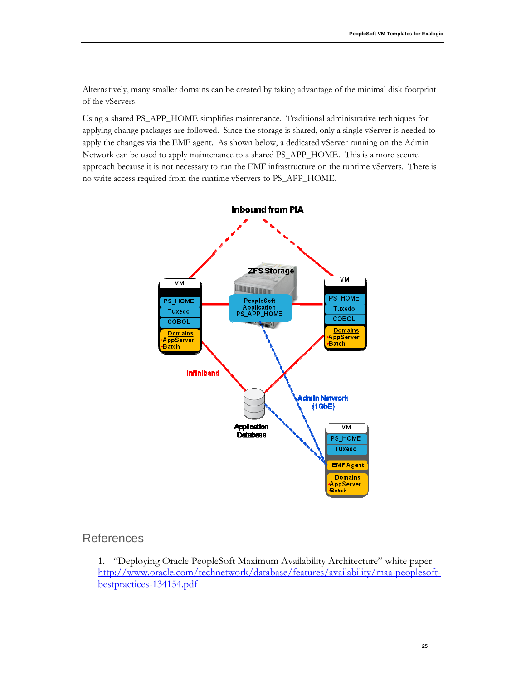Alternatively, many smaller domains can be created by taking advantage of the minimal disk footprint of the vServers.

Using a shared PS\_APP\_HOME simplifies maintenance. Traditional administrative techniques for applying change packages are followed. Since the storage is shared, only a single vServer is needed to apply the changes via the EMF agent. As shown below, a dedicated vServer running on the Admin Network can be used to apply maintenance to a shared PS\_APP\_HOME. This is a more secure approach because it is not necessary to run the EMF infrastructure on the runtime vServers. There is no write access required from the runtime vServers to PS\_APP\_HOME.



# **References**

1. "Deploying Oracle PeopleSoft Maximum Availability Architecture" white paper http://www.oracle.com/technetwork/database/features/availability/maa-peoplesoftbestpractices-134154.pdf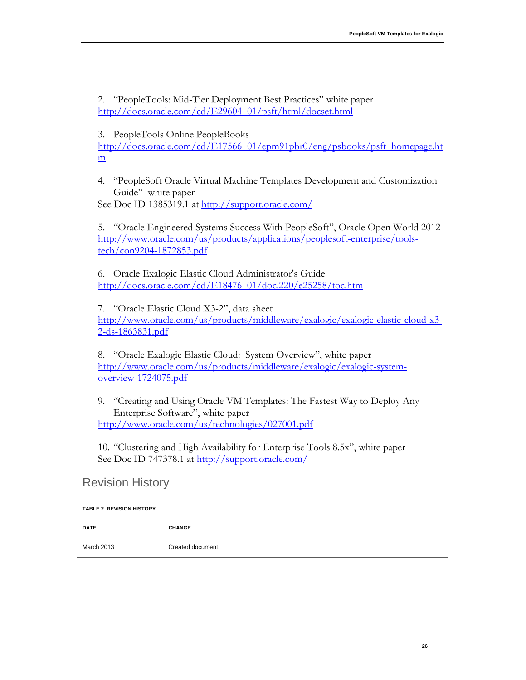2. "PeopleTools: Mid-Tier Deployment Best Practices" white paper http://docs.oracle.com/cd/E29604\_01/psft/html/docset.html

3. PeopleTools Online PeopleBooks

http://docs.oracle.com/cd/E17566\_01/epm91pbr0/eng/psbooks/psft\_homepage.ht m

4. "PeopleSoft Oracle Virtual Machine Templates Development and Customization Guide" white paper

See Doc ID 1385319.1 at http://support.oracle.com/

5. "Oracle Engineered Systems Success With PeopleSoft", Oracle Open World 2012 http://www.oracle.com/us/products/applications/peoplesoft-enterprise/toolstech/con9204-1872853.pdf

6. Oracle Exalogic Elastic Cloud Administrator's Guide http://docs.oracle.com/cd/E18476\_01/doc.220/e25258/toc.htm

7. "Oracle Elastic Cloud X3-2", data sheet http://www.oracle.com/us/products/middleware/exalogic/exalogic-elastic-cloud-x3- 2-ds-1863831.pdf

8. "Oracle Exalogic Elastic Cloud: System Overview", white paper http://www.oracle.com/us/products/middleware/exalogic/exalogic-systemoverview-1724075.pdf

9. "Creating and Using Oracle VM Templates: The Fastest Way to Deploy Any Enterprise Software", white paper http://www.oracle.com/us/technologies/027001.pdf

10. "Clustering and High Availability for Enterprise Tools 8.5x", white paper See Doc ID 747378.1 at http://support.oracle.com/

# Revision History

# **TABLE 2. REVISION HISTORY**

| <b>DATE</b> | <b>CHANGE</b>     |
|-------------|-------------------|
| March 2013  | Created document. |